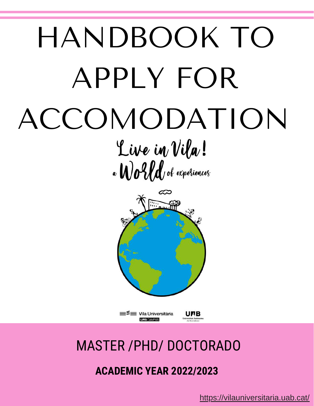# HANDBOOK TO APPLY FOR ACCOMODATION Live in Vila! a World of experiences



≡<sup>≶</sup>≡ Vila Universitària **URB CAMPUS** 

## MASTER /PHD/ [DOCTORADO](https://vilauniversitaria.uab.cat/)

### **ACADEMIC YEAR 2022/2023**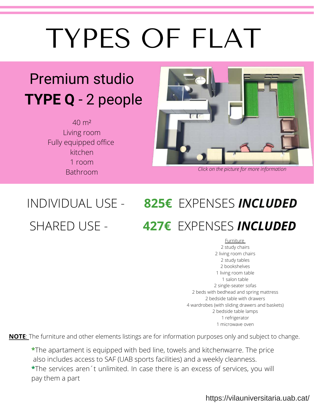# TYPES OF FLAT

## Premium studio **TYPE Q** - 2 peo[ple](https://vilauniversitaria.uab.cat/en/choose-your-flat/premium-studio/)

40 m² Living room Fully equipped office kitchen 1 room Bathroom



*Click on the picture for more information*

## INDIVIDUAL USE - **825€** EXPENSES *INCLUDED* SHARED USE - **427€** EXPENSES *INCLUDED*

Furniture study chairs living room chairs study tables bookshelves living room table salon table single-seater sofas beds with bedhead and spring mattress bedside table with drawers wardrobes (with sliding drawers and baskets) bedside table lamps refrigerator microwave oven

**NOTE**: The furniture and other elements listings are for information purposes only and subject to change.

**\***The apartament is equipped with bed line, towels and kitchenwarre. The price also includes access to SAF (UAB sports facilities) and a weekly cleanness. **\***The services aren´t unlimited. In case there is an excess of services, you will pay them a part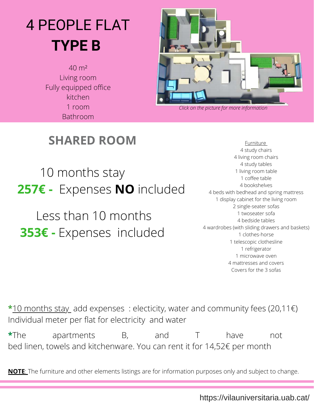## 4 PEOPLE FL[AT](https://vilauniversitaria.uab.cat/en/choose-your-flat/shared-room/#1449680718031-22158d52-2e9c2a94-062b) **TYPE B**

40 m² Living room Fully equipped office kitchen 1 room Bathroom



*Click on the picture for more information*

### **SHARED ROOM**

 10 months stay **257€ -** Expenses **NO** included

 Less than 10 months **353€ -** Expenses included

Furniture study chairs living room chairs study tables living room table coffee table bookshelves beds with bedhead and spring mattress display cabinet for the living room single-seater sofas twoseater sofa bedside tables wardrobes (with sliding drawers and baskets) clothes-horse telescopic clothesline refrigerator microwave oven mattresses and covers Covers for the 3 sofas

**\***10 months stay add expenses : electicity, water and community fees (20,11€) Individual meter per flat for electricity and water

**\***The apartments B, and T have not bed linen, towels and kitchenware. You can rent it for 14,52€ per month

**NOTE**: The furniture and other elements listings are for information purposes only and subject to change.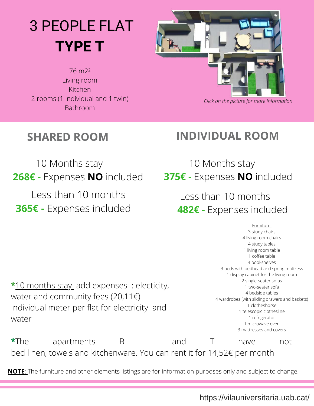## 3 PEOPLE FLAT **TYPE T**

76 m2² Living room Kitchen 2 rooms (1 individual and 1 twin) Bathroom



*Click on the picture for more [information](https://vilauniversitaria.uab.cat/en/choose-your-flat/individual-room/#1449680718031-22158d52-2e9c2a94-062b)*

### **SHARED ROOM**

**INDIVIDUAL ROOM**

 10 Months stay **268€ -** Expenses **NO** included Less than 10 months **365€ -** Expenses included

 10 Months stay **375€ -** Expenses **NO** included

> Less than 10 months **482€ -** Expenses included

**\***10 months stay add expenses : electicity, water and community fees (20,11€) Individual meter per flat for electricity and water

 study chairs living room chairs study tables living room table coffee table bookshelves beds with bedhead and spring mattress display cabinet for the living room single-seater sofas two-seater sofa bedside tables wardrobes (with sliding drawers and baskets) clotheshorse telescopic clothesline refrigerator microwave oven mattresses and covers

Furniture

**\***The apartments B and T have not bed linen, towels and kitchenware. You can rent it for 14,52€ per month

**NOTE**: The furniture and other elements listings are for information purposes only and subject to change.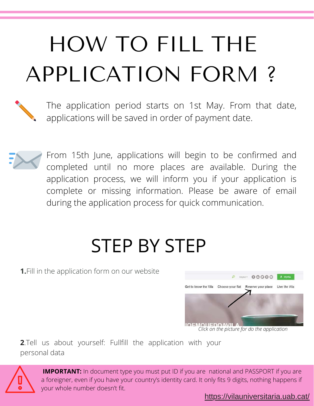# HOW TO FILL THE APPLICATION FORM ?



The application period starts on 1st May. From that date, applications will be saved in order of payment date.



From 15th June, applications will begin to be confirmed and completed until no more places are available. During the application process, we will inform you if your application is complete or missing information. Please be aware of email during the application process for quick communication.

## STEP BY STEP

**1.**Fill in the application form on our website



*Click on the picture for do the application*

**2**.Tell us about yourself: Fullfill the application with your personal data



**IMPORTANT:** In document type you must put ID if you are national and PASSPORT if you are [a foreigner, even if you have your country's identity card. It only fits 9 digits, nothing happens if](https://vilauniversitaria.uab.cat/) your whole number doesn't fit.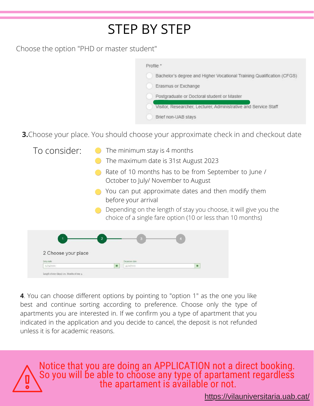## STEP BY STEP

Choose the option "PHD or master student"

| Profile "                                                             |
|-----------------------------------------------------------------------|
| Bachelor's degree and Higher Vocational Training Qualification (CFGS) |
| Erasmus or Exchange                                                   |
| Postgraduate or Doctoral student or Master                            |
| Visitor, Researcher, Lecturer, Administrative and Service Staff       |
| Brief non-UAB stavs                                                   |

**3.**Choose your place. You should choose your approximate check in and checkout date

| To consider:                                | The minimum stay is 4 months<br>The maximum date is 31st August 2023                                                           |
|---------------------------------------------|--------------------------------------------------------------------------------------------------------------------------------|
|                                             | Rate of 10 months has to be from September to June /<br>October to July/ November to August                                    |
|                                             | You can put approximate dates and then modify them<br>before your arrival                                                      |
|                                             | Depending on the length of stay you choose, it will give you the<br>choice of a single fare option (10 or less than 10 months) |
|                                             |                                                                                                                                |
| 2 Choose your place                         |                                                                                                                                |
| Entry date<br>01/00/2020                    | Departure date<br>冨<br>首<br>31/32/2020                                                                                         |
| Length of stay (days) 122. Months of stay 4 |                                                                                                                                |

**4**. You can choose different options by pointing to "option 1" as the one you like best and continue sorting according to preference. Choose only the type of apartments you are interested in. If we confirm you a type of apartment that you indicated in the application and you decide to cancel, the deposit is not refunded unless it is for academic reasons.

Notice that you are doing an APPLICATION not a direct booking. So you will be able to choose any type of apartament regardless the apartament is available or not.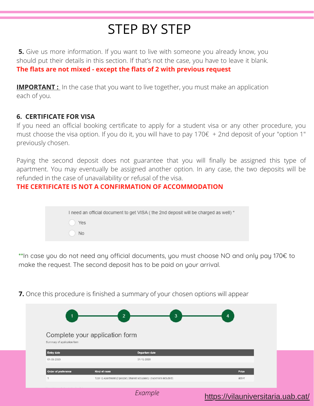### STEP BY STEP

**5.** Give us more information. If you want to live with someone you already know, you should put their details in this section. If that's not the case, you have to leave it blank. **The flats are not mixed - except the flats of 2 with previous request**

**IMPORTANT**: In the case that you want to live together, you must make an application each of you.

#### **6. CERTIFICATE FOR VISA**

If you need an official booking certificate to apply for a student visa or any other procedure, you must choose the visa option. If you do it, you will have to pay  $170 \epsilon + 2$ nd deposit of your "option 1" previously chosen.

Paying the second deposit does not guarantee that you will finally be assigned this type of apartment. You may eventually be assigned another option. In any case, the two deposits will be refunded in the case of unavailability or refusal of the visa.

#### **THE CERTIFICATE IS NOT A CONFIRMATION OF ACCOMMODATION**

| I need an official document to get VISA (the 2nd deposit will be charged as well) * |
|-------------------------------------------------------------------------------------|
| Yes                                                                                 |
| No                                                                                  |
|                                                                                     |

**\*\***In case you do not need any official documents, you must choose NO and only pay 170€ to make the request. The second deposit has to be paid on your arrival.

Complete your application form Summary of application form **Entry date** 01-09-2020 31-12-2020 Order of prefere Kind of roo Type Q Apartment (2 people) Shared occupancy (expenses included)  $409 F$ *Example*

<https://vilauniversitaria.uab.cat/>

**7.** Once this procedure is finished a summary of your chosen options will appear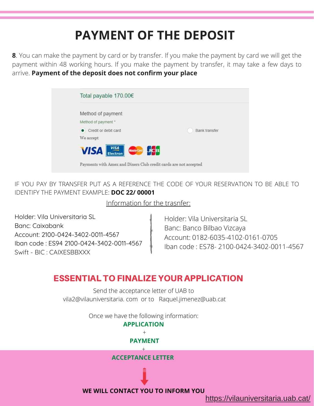## **PAYMENT OF THE DEPOSIT**

**8**. You can make the payment by card or by transfer. If you make the payment by card we will get the payment within 48 working hours. If you make the payment by transfer, it may take a few days to arrive. **Payment of the deposit does not confirm your place**

| Method of payment            |                      |
|------------------------------|----------------------|
| Method of payment *          |                      |
| Credit or debit card         | <b>Bank transfer</b> |
| We accept                    |                      |
| VISA Electron Mastercano DCB |                      |

IF YOU PAY BY TRANSFER PUT AS A REFERENCE THE CODE OF YOUR RESERVATION TO BE ABLE TO IDENTIFY THE PAYMENT EXAMPLE: **DOC 22/ 00001** 

Information for the trasnfer:

Holder: Vila Universitaria SL Banc: Caixabank Account: 2100-0424-3402-0011-4567 Iban code : ES94 2100-0424-3402-0011-4567 Swift - BIC : CAIXESBBXXX

Holder: Vila Universitaria SL Banc: Banco Bilbao Vizcaya Account: 0182-6035-4102-0161-0705 Iban code : ES78- 2100-0424-3402-0011-4567

#### ESSENTIAL TO FINALIZE YOUR APPLICATION

Send the acceptance letter of UAB to vila2@vilauniversitaria. com or to Raquel.jimenez@uab.cat

Once we have the following information:

#### **APPLICATION**  $+$ **PAYMENT** + **ACCEPTANCE LETTER**



**WE WILL CONTACT YOU TO INFORM YOU**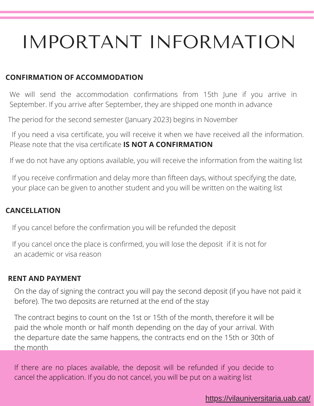## IMPORTANT INFORMATION

#### **CONFIRMATION OF ACCOMMODATION**

We will send the accommodation confirmations from 15th June if you arrive in September. If you arrive after September, they are shipped one month in advance

The period for the second semester (January 2023) begins in November

If you need a visa certificate, you will receive it when we have received all the information. Please note that the visa certificate **IS NOT A CONFIRMATION**

If we do not have any options available, you will receive the information from the waiting list

If you receive confirmation and delay more than fifteen days, without specifying the date, your place can be given to another student and you will be written on the waiting list

#### **CANCELLATION**

If you cancel before the confirmation you will be refunded the deposit

If you cancel once the place is confirmed, you will lose the deposit if it is not for an academic or visa reason

#### **RENT AND PAYMENT**

On the day of signing the contract you will pay the second deposit (if you have not paid it before). The two deposits are returned at the end of the stay

The contract begins to count on the 1st or 15th of the month, therefore it will be paid the whole month or half month depending on the day of your arrival. With the departure date the same happens, the contracts end on the 15th or 30th of the month

If there are no places available, the deposit will be refunded if you decide to cancel the application. If you do not cancel, you will be put on a waiting list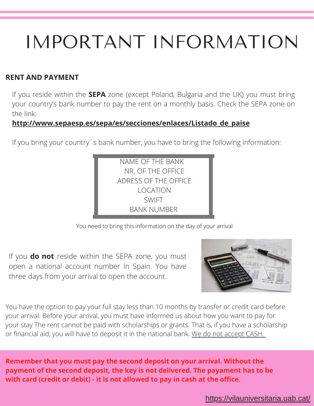## IMPORTANT INFORMATION

#### **RENT AND PAYMENT**

If you reside within the **SEPA** zone (except Poland, Bulgaria and the UK) you must bring your country's bank number to pay the rent on a monthly basis. Check the SEPA zone on the link:

#### **[http://www.sepaesp.es/sepa/es/secciones/enlaces/Listado\\_de\\_paise](http://www.sepaesp.es/sepa/es/secciones/enlaces/Listado_de_paise/)**

If you bring your country´s bank number, you have to bring the following information:



You need to bring this information on the day of your arrival

If you **do not** reside within the SEPA zone, you must open a national account number in Spain. You have three days from your arrival to open the account.



You have the option to pay your full stay less than 10 months by transfer or credit card before your arrival. Before your arrival, you must have informed us about how you want to pay for your stay The rent cannot be paid with scholarships or grants. That is, if you have a scholarship or financial aid, you will have to deposit it in the national bank. We do not accept CASH.

**Remember that you must pay the second deposit on your arrival. Without the payment of the second deposit, the key is not delivered. The payament has to be with card (credit or debit) - it is not allowed to pay in cash at the office.**